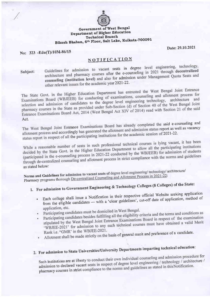

#### **Government of West Bengal** Department of Higher Education **Technical Branch** Bikash Bhaban, 6th Floor, Salt Lake, Kolkata-700091

Date: 29.10.2021

No: 323 -Edn(T)/10M-86/15

## NOTIFICATION

Subject:

Guidelines for admission to vacant seats in degree level engineering, technology, architecture and pharmacy courses after the e-counseling in 2021 through decentralized counseling (institution level) and also for admission under Management Quota Seats and other relevant issues for the academic year 2021-22.

The State Govt. in the Higher Education Department has entrusted the West Bengal Joint Entrance Examinations Board (WBJEEB) for conducting of examinations, counseling and allotment process for selection and admission of candidates to the degree level engineering technology, architecture and pharmacy courses in the State as provided under Sub-Section (d) of Section 40 of the West Bengal Joint Entrance Examinations Board Act, 2014 (West Bengal Act XIV of 2014) read with Section 21 of the said Act.

The West Bengal Joint Entrance Examinations Board has already completed the said e-counseling and allotment process and accordingly has generated the allotment and admission status report as well as vacancy status report in respect of all the participating institutions for the academic session of 2021-22.

While a reasonable number of seats in such professional technical courses is lying vacant, it has been decided by the State Govt. in the Higher Education Department to allow all the participating institutions (participated in the e-counseling process in 2021-22 conducted by the WBJEEB) for admission of students through de-centralized counseling and allotment process in strict compliance with the norms and guidelines as stated below:

Norms and Guidelines for admission to vacant seats of degree level engineering/technology/architecture/ Pharmacy programs thorough De-centralized Counseling and Allotment Process in 2021-22:

# 1. For admission to Government Engineering & Technology Colleges (8 Colleges) of the State:

- · Each college shall issue a Notification in their respective official Website seeking application from the eligible candidates - with a 'clear guidelines', cut-off date of application, method of application, etc.
- · Participating candidates must be domiciled in West Bengal.
- · Participating candidates besides fulfilling all the eligibility criteria and the terms and conditions as stipulated by the West Bengal Joint Entrance Examinations Board in respect of the examination 'WBJEE-2021' for admission to any such technical courses must have obtained a valid Merit Rank i.e. "GMR' in the WBJEE-2021.
- Allotment shall be made strictly on the basis of general merit and preference of a candidate.

# 2. For admission to State Universities/University Departments imparting technical education:

Such institutions are at liberty to conduct their own individual counseling and admission procedure for admission to declared vacant seats in respect of degree level engineering / technology / architecture / pharmacy courses in strict compliance to the norms and guidelines as stated in this Notification.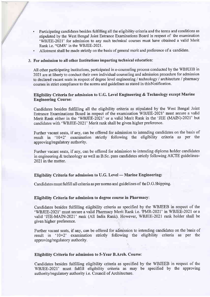- . Participating candidates besides fulfilling all the eligibility criteria and the terms and conditions as stipulated by the West Bengal Joint Entrance Examinations Board in respect of the examination 'WBJEE-2021' for admission to any such technical courses must have obtained a valid Merit Rank i.e. "GMR' in the WBJEE-2021.
- Allotment shall be made strictly on the basis of general merit and preference of a candidate.

#### For admission to all other Institutions imparting technical education:

All other participating institutions, participated in e-counseling process conducted by the WBJEEB in 2021 are at liberty to conduct their own individual counseling and admission procedure for admission to declared vacant seats in respect of degree level engineering / technology / architecture / pharmacy courses in strict compliance to the norms and guidelines as stated in thisNotification.

#### Eligibility Criteria for admission to U.G. Level Engineering & Technology except Marine Engineering Course:

Candidates besides fulfilling all the eligibility criteria as stipulated by the West Bengal Joint Entrance Examinations Board in respect of the examination WBJEE-2021' must secure a valid Merit Rank either in the'WBJEE-2021' or a valid Merit Rank in the 'JEE (MAIN)-2021' but candidates with 'WBJEE-2021' Merit rank shall be given higher preference.

Further vacant seats, if any, can be offered for admission to intending candidates on the basis of result in '10+2' examination strictly following the eligibility criteria as per the approving/regulatory authority.

Further vacant seats, if any, can be offered for admission to intending diploma holder candidates in engineering & technology as well as B.Sc. pass candidates strictly following AICTE guidelines-2021 in the matter.

## Eligibility Criteria for admission to U.G. Level — Marine Engineering

Candidates must fulfill all criteria as per norms and guidelines of the D.G. Shipping.

#### Eligibility Criteria for admission to degree course in Pharmacy:

Candidates besides fulfrlling eligibility criteria as specified by the WBJEEB in respect of the 'WBJEE-2021' must secure a valid Pharmacy Merit Rank i.e. 'PMR-2021' in WBJEE-2021 or a valid 'JEE-MAIN-2021' rank (All India Rank). However, WBJEE-2021 rank holder shall be given higher preference.

Further vacant seats, if any, can be offered for adinission to intending candidates on the basis of result in '10+2' examination strictly following the eligibility criteria as per the approving/regulatory authority.

#### Eligibility Criteria for admission to 5-Year B.Arch. Course:

Candidates besides fulfrlling eligibility criteria as specified by the WBJEEB in respect of the WBJEE-2021' must fulfill eligibility criteria as may be specified by the approving authority/regulatory authority i.e. Council of Architecture.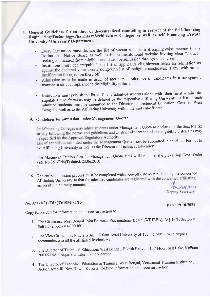### 4. General Guidelines for conduct of de-centralized counseling in respect of the Self-financing Engineering/Technology/Pharmacy/Architecture Colleges as well as self Financing Private University / University Departments:

- Every Institution must declare the list of vacant seats in a discipline-wise manner in the  $\bullet$ Institutional Notice Board as well as in the institutional website inviting clear "Notice" seeking application from eligible candidates for admission through such system.
- · Institutions must declare/publish the list of applicants eligible/shortlisted for admission as against the declared vacant seats along-with list of ineligible candidates, if any, with proper justification for rejection there off.
- Admission must be made in order of merit and preference of candidates in a transparent manner in strict compliance to the eligibility criteria.
- Institutions must publish the list of finally admitted students along-with their merit within the stipulated time frame as may be defined by the respective affiliating University. A list of such admitted students must be submitted to the Director of Technical Education, Govt. of West Bengal as well as to the Affiliating University within the said cut-off date.

## 5. Guidelines for admission under Management Quota:

Self-financing Colleges may admit students under Management Quota as declared in the Seat Matrix strictly following the norms and guidelines and in strict observance of the eligibility criteria as may be specified by the Approval/Regulatory Authority.

List of candidates admitted under the Management Quota must be submitted in specified Format to the Affiliating University as well as the Director of Technical Education.

The Maximum Tuition fees for Management Quota seats will be as per the prevailing Govt. Order vide No.351-Edn(T) dated. 23.06.2010

6. The entire admission process must be completed within cut-off date as stipulated by the concerned Affiliating University so that the admitted candidates are registered with the concerned affiliating university in a timely manner.  $m$ 29/04

### No. 323 /1(9) - Edn(T)/10M-86/15

Copy forwarded for information and necessary action to:

- 1. The Chairman, West Bengal Joint Entrance Examinations Board (WBJEEB), AQ-13/1, Sector-V, Salt Lake, Kolkata-700 091.
- 2. The Vice-Chancellor, Maulana Abul Kalam Azad University of Technology with request to communicate to all the affiliated institutions.
- 3. The Director of Technical Education, West Bengal, Bikash Bhavan, 10<sup>th</sup> Floor, Salt Lake, Kolkata -700 091 with request to inform all concerned.
- 4. The Director of Technical Education & Training, West Bengal, Vocational Training Institution, Action Area-III, New Town, Kolkata, for kind information and necessary action.

Date: 29.10.2021

Deputy Secretary